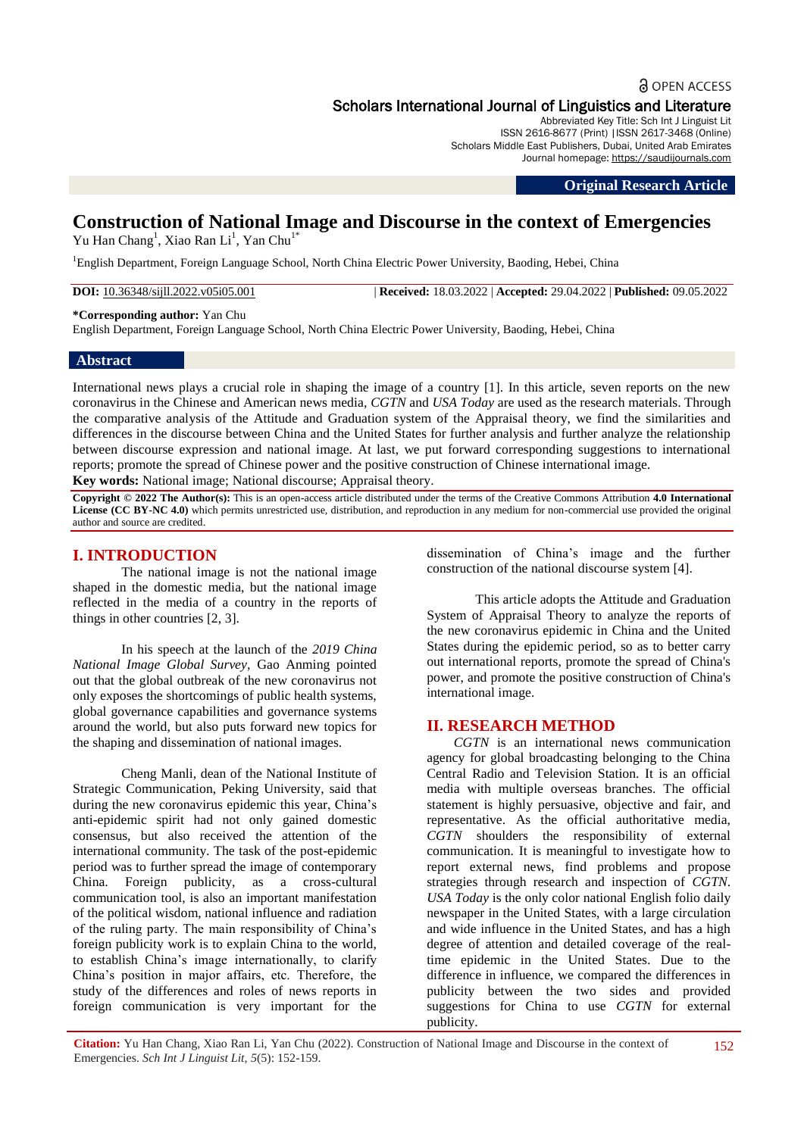## **a** OPEN ACCESS Scholars International Journal of Linguistics and Literature

Abbreviated Key Title: Sch Int J Linguist Lit ISSN 2616-8677 (Print) |ISSN 2617-3468 (Online) Scholars Middle East Publishers, Dubai, United Arab Emirates Journal homepage: https://saudijournals.com

**Original Research Article**

# **Construction of National Image and Discourse in the context of Emergencies**

Yu Han Chang<sup>1</sup>, Xiao Ran Li<sup>1</sup>, Yan Chu<sup>1\*</sup>

<sup>1</sup>English Department, Foreign Language School, North China Electric Power University, Baoding, Hebei, China

**DOI:** 10.36348/sijll.2022.v05i05.001 | **Received:** 18.03.2022 | **Accepted:** 29.04.2022 | **Published:** 09.05.2022

**\*Corresponding author:** Yan Chu

English Department, Foreign Language School, North China Electric Power University, Baoding, Hebei, China

#### **Abstract**

International news plays a crucial role in shaping the image of a country [1]. In this article, seven reports on the new coronavirus in the Chinese and American news media, *CGTN* and *USA Today* are used as the research materials. Through the comparative analysis of the Attitude and Graduation system of the Appraisal theory, we find the similarities and differences in the discourse between China and the United States for further analysis and further analyze the relationship between discourse expression and national image. At last, we put forward corresponding suggestions to international reports; promote the spread of Chinese power and the positive construction of Chinese international image. **Key words:** National image; National discourse; Appraisal theory.

**Copyright © 2022 The Author(s):** This is an open-access article distributed under the terms of the Creative Commons Attribution **4.0 International** 

**License (CC BY-NC 4.0)** which permits unrestricted use, distribution, and reproduction in any medium for non-commercial use provided the original author and source are credited.

## **I. INTRODUCTION**

The national image is not the national image shaped in the domestic media, but the national image reflected in the media of a country in the reports of things in other countries [2, 3].

In his speech at the launch of the *2019 China National Image Global Survey,* Gao Anming pointed out that the global outbreak of the new coronavirus not only exposes the shortcomings of public health systems, global governance capabilities and governance systems around the world, but also puts forward new topics for the shaping and dissemination of national images.

Cheng Manli, dean of the National Institute of Strategic Communication, Peking University, said that during the new coronavirus epidemic this year, China"s anti-epidemic spirit had not only gained domestic consensus, but also received the attention of the international community. The task of the post-epidemic period was to further spread the image of contemporary China. Foreign publicity, as a cross-cultural communication tool, is also an important manifestation of the political wisdom, national influence and radiation of the ruling party. The main responsibility of China"s foreign publicity work is to explain China to the world, to establish China"s image internationally, to clarify China"s position in major affairs, etc. Therefore, the study of the differences and roles of news reports in foreign communication is very important for the

dissemination of China"s image and the further construction of the national discourse system [4].

This article adopts the Attitude and Graduation System of Appraisal Theory to analyze the reports of the new coronavirus epidemic in China and the United States during the epidemic period, so as to better carry out international reports, promote the spread of China's power, and promote the positive construction of China's international image.

#### **II. RESEARCH METHOD**

*CGTN* is an international news communication agency for global broadcasting belonging to the China Central Radio and Television Station. It is an official media with multiple overseas branches. The official statement is highly persuasive, objective and fair, and representative. As the official authoritative media, *CGTN* shoulders the responsibility of external communication. It is meaningful to investigate how to report external news, find problems and propose strategies through research and inspection of *CGTN*. *USA Today* is the only color national English folio daily newspaper in the United States, with a large circulation and wide influence in the United States, and has a high degree of attention and detailed coverage of the realtime epidemic in the United States. Due to the difference in influence, we compared the differences in publicity between the two sides and provided suggestions for China to use *CGTN* for external publicity.

**Citation:** Yu Han Chang, Xiao Ran Li, Yan Chu (2022). Construction of National Image and Discourse in the context of Emergencies. *Sch Int J Linguist Lit, 5*(5): 152-159.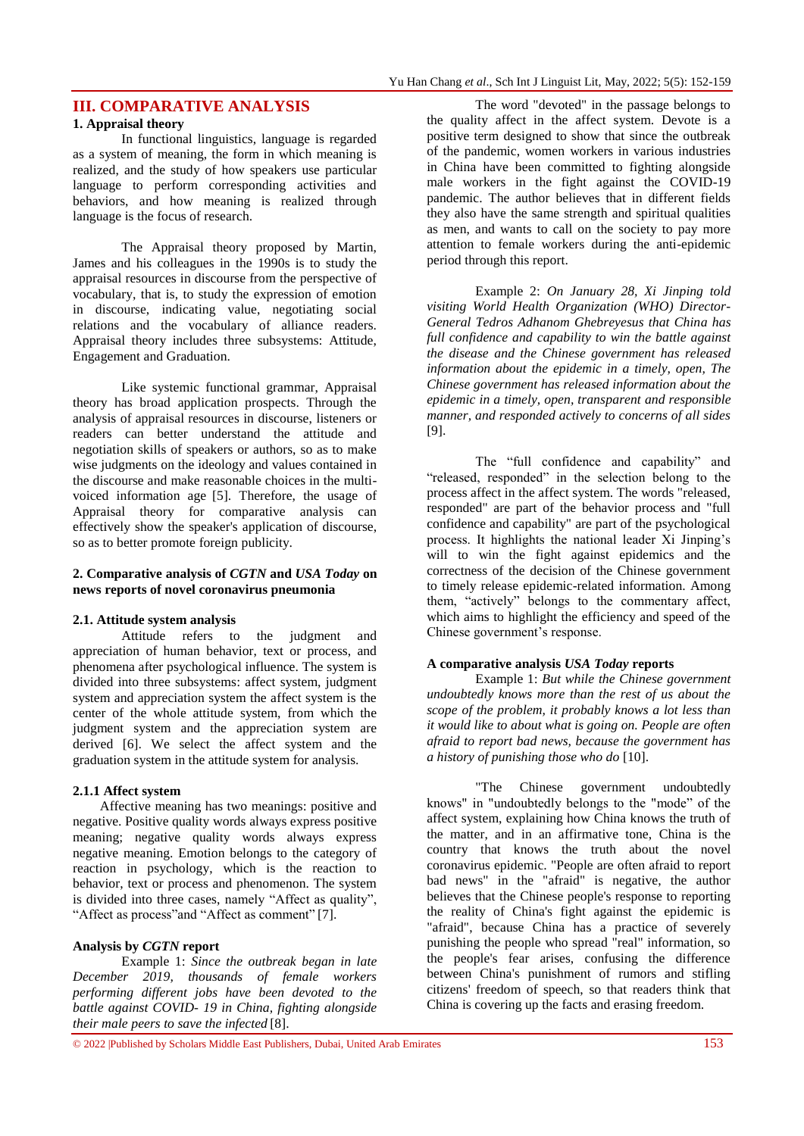## **III. COMPARATIVE ANALYSIS**

#### **1. Appraisal theory**

In functional linguistics, language is regarded as a system of meaning, the form in which meaning is realized, and the study of how speakers use particular language to perform corresponding activities and behaviors, and how meaning is realized through language is the focus of research.

The Appraisal theory proposed by Martin, James and his colleagues in the 1990s is to study the appraisal resources in discourse from the perspective of vocabulary, that is, to study the expression of emotion in discourse, indicating value, negotiating social relations and the vocabulary of alliance readers. Appraisal theory includes three subsystems: Attitude, Engagement and Graduation.

Like systemic functional grammar, Appraisal theory has broad application prospects. Through the analysis of appraisal resources in discourse, listeners or readers can better understand the attitude and negotiation skills of speakers or authors, so as to make wise judgments on the ideology and values contained in the discourse and make reasonable choices in the multivoiced information age [5]. Therefore, the usage of Appraisal theory for comparative analysis can effectively show the speaker's application of discourse, so as to better promote foreign publicity.

#### **2. Comparative analysis of** *CGTN* **and** *USA Today* **on news reports of novel coronavirus pneumonia**

#### **2.1. Attitude system analysis**

Attitude refers to the judgment and appreciation of human behavior, text or process, and phenomena after psychological influence. The system is divided into three subsystems: affect system, judgment system and appreciation system the affect system is the center of the whole attitude system, from which the judgment system and the appreciation system are derived [6]. We select the affect system and the graduation system in the attitude system for analysis.

#### **2.1.1 Affect system**

Affective meaning has two meanings: positive and negative. Positive quality words always express positive meaning; negative quality words always express negative meaning. Emotion belongs to the category of reaction in psychology, which is the reaction to behavior, text or process and phenomenon. The system is divided into three cases, namely "Affect as quality", "Affect as process"and "Affect as comment" [7].

#### **Analysis by** *CGTN* **report**

Example 1: *Since the outbreak began in late December 2019, thousands of female workers performing different jobs have been devoted to the battle against COVID- 19 in China, fighting alongside their male peers to save the infected* [8].

The word "devoted" in the passage belongs to the quality affect in the affect system. Devote is a positive term designed to show that since the outbreak of the pandemic, women workers in various industries in China have been committed to fighting alongside male workers in the fight against the COVID-19 pandemic. The author believes that in different fields they also have the same strength and spiritual qualities as men, and wants to call on the society to pay more attention to female workers during the anti-epidemic period through this report.

Example 2: *On January 28, Xi Jinping told visiting World Health Organization (WHO) Director-General Tedros Adhanom Ghebreyesus that China has full confidence and capability to win the battle against the disease and the Chinese government has released information about the epidemic in a timely, open, The Chinese government has released information about the epidemic in a timely, open, transparent and responsible manner, and responded actively to concerns of all sides*  [9].

The "full confidence and capability" and "released, responded" in the selection belong to the process affect in the affect system. The words "released, responded" are part of the behavior process and "full confidence and capability" are part of the psychological process. It highlights the national leader Xi Jinping"s will to win the fight against epidemics and the correctness of the decision of the Chinese government to timely release epidemic-related information. Among them, "actively" belongs to the commentary affect, which aims to highlight the efficiency and speed of the Chinese government's response.

#### **A comparative analysis** *USA Today* **reports**

Example 1: *But while the Chinese government undoubtedly knows more than the rest of us about the scope of the problem, it probably knows a lot less than it would like to about what is going on. People are often afraid to report bad news, because the government has a history of punishing those who do* [10].

"The Chinese government undoubtedly knows" in "undoubtedly belongs to the "mode" of the affect system, explaining how China knows the truth of the matter, and in an affirmative tone, China is the country that knows the truth about the novel coronavirus epidemic. "People are often afraid to report bad news" in the "afraid" is negative, the author believes that the Chinese people's response to reporting the reality of China's fight against the epidemic is "afraid", because China has a practice of severely punishing the people who spread "real" information, so the people's fear arises, confusing the difference between China's punishment of rumors and stifling citizens' freedom of speech, so that readers think that China is covering up the facts and erasing freedom.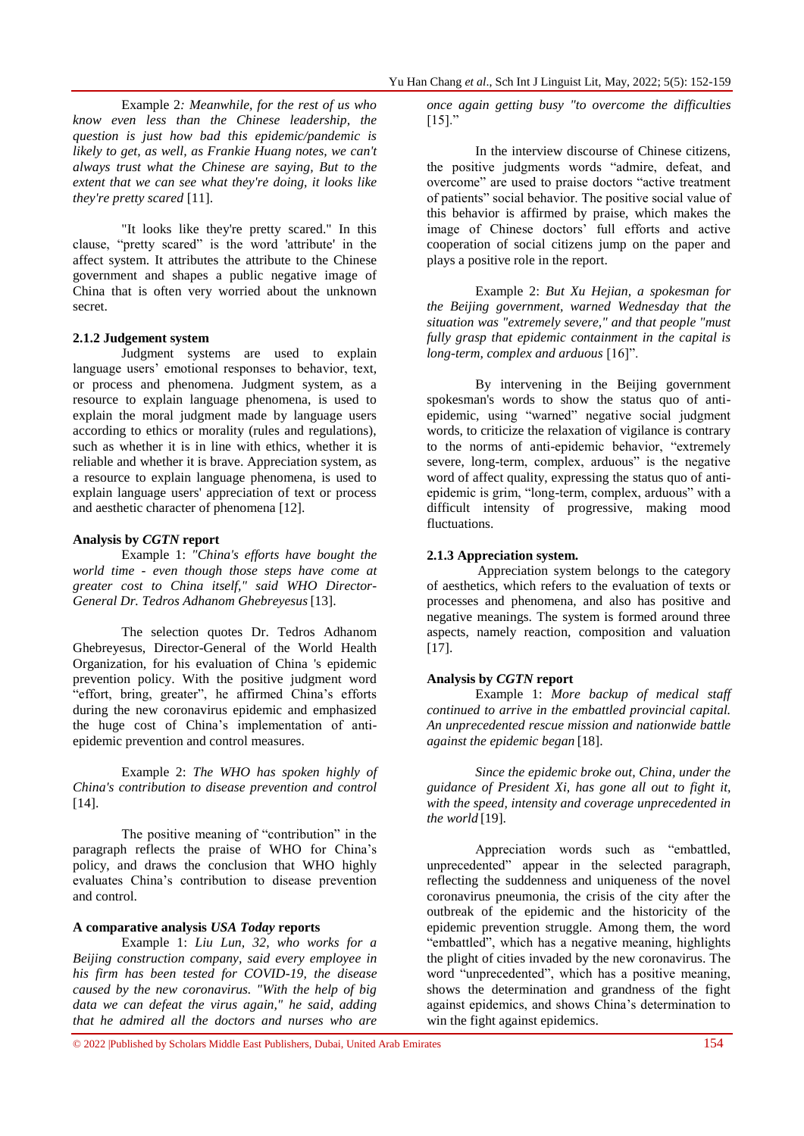Example 2*: Meanwhile, for the rest of us who know even less than the Chinese leadership, the question is just how bad this epidemic/pandemic is likely to get, as well, as Frankie Huang notes, we can't always trust what the Chinese are saying, But to the extent that we can see what they're doing, it looks like they're pretty scared* [11].

"It looks like they're pretty scared." In this clause, "pretty scared" is the word 'attribute' in the affect system. It attributes the attribute to the Chinese government and shapes a public negative image of China that is often very worried about the unknown secret.

#### **2.1.2 Judgement system**

Judgment systems are used to explain language users' emotional responses to behavior, text, or process and phenomena. Judgment system, as a resource to explain language phenomena, is used to explain the moral judgment made by language users according to ethics or morality (rules and regulations), such as whether it is in line with ethics, whether it is reliable and whether it is brave. Appreciation system, as a resource to explain language phenomena, is used to explain language users' appreciation of text or process and aesthetic character of phenomena [12].

#### **Analysis by** *CGTN* **report**

Example 1: *"China's efforts have bought the world time - even though those steps have come at greater cost to China itself," said WHO Director-General Dr. Tedros Adhanom Ghebreyesus*[13].

The selection quotes Dr. Tedros Adhanom Ghebreyesus, Director-General of the World Health Organization, for his evaluation of China 's epidemic prevention policy. With the positive judgment word "effort, bring, greater", he affirmed China"s efforts during the new coronavirus epidemic and emphasized the huge cost of China"s implementation of antiepidemic prevention and control measures.

Example 2: *The WHO has spoken highly of China's contribution to disease prevention and control* [14].

The positive meaning of "contribution" in the paragraph reflects the praise of WHO for China"s policy, and draws the conclusion that WHO highly evaluates China"s contribution to disease prevention and control.

#### **A comparative analysis** *USA Today* **reports**

Example 1: *Liu Lun, 32, who works for a Beijing construction company, said every employee in his firm has been tested for COVID-19, the disease caused by the new coronavirus. "With the help of big data we can defeat the virus again," he said, adding that he admired all the doctors and nurses who are* 

*once again getting busy "to overcome the difficulties*   $[15]$ .

In the interview discourse of Chinese citizens, the positive judgments words "admire, defeat, and overcome" are used to praise doctors "active treatment of patients" social behavior. The positive social value of this behavior is affirmed by praise, which makes the image of Chinese doctors' full efforts and active cooperation of social citizens jump on the paper and plays a positive role in the report.

Example 2: *But Xu Hejian, a spokesman for the Beijing government, warned Wednesday that the situation was "extremely severe," and that people "must fully grasp that epidemic containment in the capital is long-term, complex and arduous* [16]".

By intervening in the Beijing government spokesman's words to show the status quo of antiepidemic, using "warned" negative social judgment words, to criticize the relaxation of vigilance is contrary to the norms of anti-epidemic behavior, "extremely severe, long-term, complex, arduous" is the negative word of affect quality, expressing the status quo of antiepidemic is grim, "long-term, complex, arduous" with a difficult intensity of progressive, making mood fluctuations.

#### **2.1.3 Appreciation system.**

Appreciation system belongs to the category of aesthetics, which refers to the evaluation of texts or processes and phenomena, and also has positive and negative meanings. The system is formed around three aspects, namely reaction, composition and valuation [17].

#### **Analysis by** *CGTN* **report**

Example 1: *More backup of medical staff continued to arrive in the embattled provincial capital. An unprecedented rescue mission and nationwide battle against the epidemic began* [18].

*Since the epidemic broke out, China, under the guidance of President Xi, has gone all out to fight it, with the speed, intensity and coverage unprecedented in the world* [19].

Appreciation words such as "embattled, unprecedented" appear in the selected paragraph, reflecting the suddenness and uniqueness of the novel coronavirus pneumonia, the crisis of the city after the outbreak of the epidemic and the historicity of the epidemic prevention struggle. Among them, the word "embattled", which has a negative meaning, highlights the plight of cities invaded by the new coronavirus. The word "unprecedented", which has a positive meaning, shows the determination and grandness of the fight against epidemics, and shows China"s determination to win the fight against epidemics.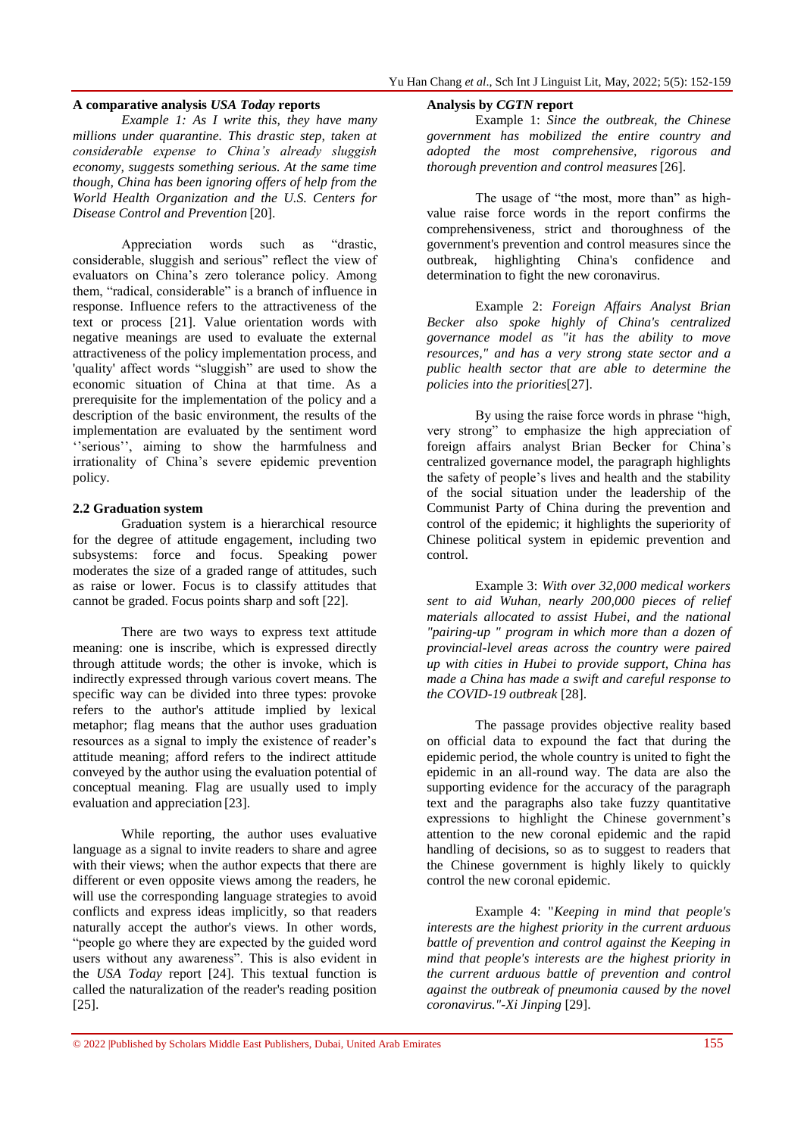#### **A comparative analysis** *USA Today* **reports**

*Example 1: As I write this, they have many millions under quarantine. This drastic step, taken at considerable expense to China's already sluggish economy, suggests something serious. At the same time though, China has been ignoring offers of help from the World Health Organization and the U.S. Centers for Disease Control and Prevention* [20].

Appreciation words such as "drastic, considerable, sluggish and serious" reflect the view of evaluators on China"s zero tolerance policy. Among them, "radical, considerable" is a branch of influence in response. Influence refers to the attractiveness of the text or process [21]. Value orientation words with negative meanings are used to evaluate the external attractiveness of the policy implementation process, and 'quality' affect words "sluggish" are used to show the economic situation of China at that time. As a prerequisite for the implementation of the policy and a description of the basic environment, the results of the implementation are evaluated by the sentiment word "serious", aiming to show the harmfulness and irrationality of China"s severe epidemic prevention policy.

#### **2.2 Graduation system**

Graduation system is a hierarchical resource for the degree of attitude engagement, including two subsystems: force and focus. Speaking power moderates the size of a graded range of attitudes, such as raise or lower. Focus is to classify attitudes that cannot be graded. Focus points sharp and soft [22].

There are two ways to express text attitude meaning: one is inscribe, which is expressed directly through attitude words; the other is invoke, which is indirectly expressed through various covert means. The specific way can be divided into three types: provoke refers to the author's attitude implied by lexical metaphor; flag means that the author uses graduation resources as a signal to imply the existence of reader"s attitude meaning; afford refers to the indirect attitude conveyed by the author using the evaluation potential of conceptual meaning. Flag are usually used to imply evaluation and appreciation [23].

While reporting, the author uses evaluative language as a signal to invite readers to share and agree with their views; when the author expects that there are different or even opposite views among the readers, he will use the corresponding language strategies to avoid conflicts and express ideas implicitly, so that readers naturally accept the author's views. In other words, "people go where they are expected by the guided word users without any awareness". This is also evident in the *USA Today* report [24]. This textual function is called the naturalization of the reader's reading position [25].

#### **Analysis by** *CGTN* **report**

Example 1: *Since the outbreak, the Chinese government has mobilized the entire country and adopted the most comprehensive, rigorous and thorough prevention and control measures*[26].

The usage of "the most, more than" as highvalue raise force words in the report confirms the comprehensiveness, strict and thoroughness of the government's prevention and control measures since the outbreak, highlighting China's confidence and determination to fight the new coronavirus.

Example 2: *Foreign Affairs Analyst Brian Becker also spoke highly of China's centralized governance model as "it has the ability to move resources," and has a very strong state sector and a public health sector that are able to determine the policies into the priorities*[27].

By using the raise force words in phrase "high, very strong" to emphasize the high appreciation of foreign affairs analyst Brian Becker for China"s centralized governance model, the paragraph highlights the safety of people"s lives and health and the stability of the social situation under the leadership of the Communist Party of China during the prevention and control of the epidemic; it highlights the superiority of Chinese political system in epidemic prevention and control.

Example 3: *With over 32,000 medical workers sent to aid Wuhan, nearly 200,000 pieces of relief materials allocated to assist Hubei, and the national "pairing-up " program in which more than a dozen of provincial-level areas across the country were paired up with cities in Hubei to provide support, China has made a China has made a swift and careful response to the COVID-19 outbreak* [28].

The passage provides objective reality based on official data to expound the fact that during the epidemic period, the whole country is united to fight the epidemic in an all-round way. The data are also the supporting evidence for the accuracy of the paragraph text and the paragraphs also take fuzzy quantitative expressions to highlight the Chinese government's attention to the new coronal epidemic and the rapid handling of decisions, so as to suggest to readers that the Chinese government is highly likely to quickly control the new coronal epidemic.

Example 4: "*Keeping in mind that people's interests are the highest priority in the current arduous battle of prevention and control against the Keeping in mind that people's interests are the highest priority in the current arduous battle of prevention and control against the outbreak of pneumonia caused by the novel coronavirus."-Xi Jinping* [29].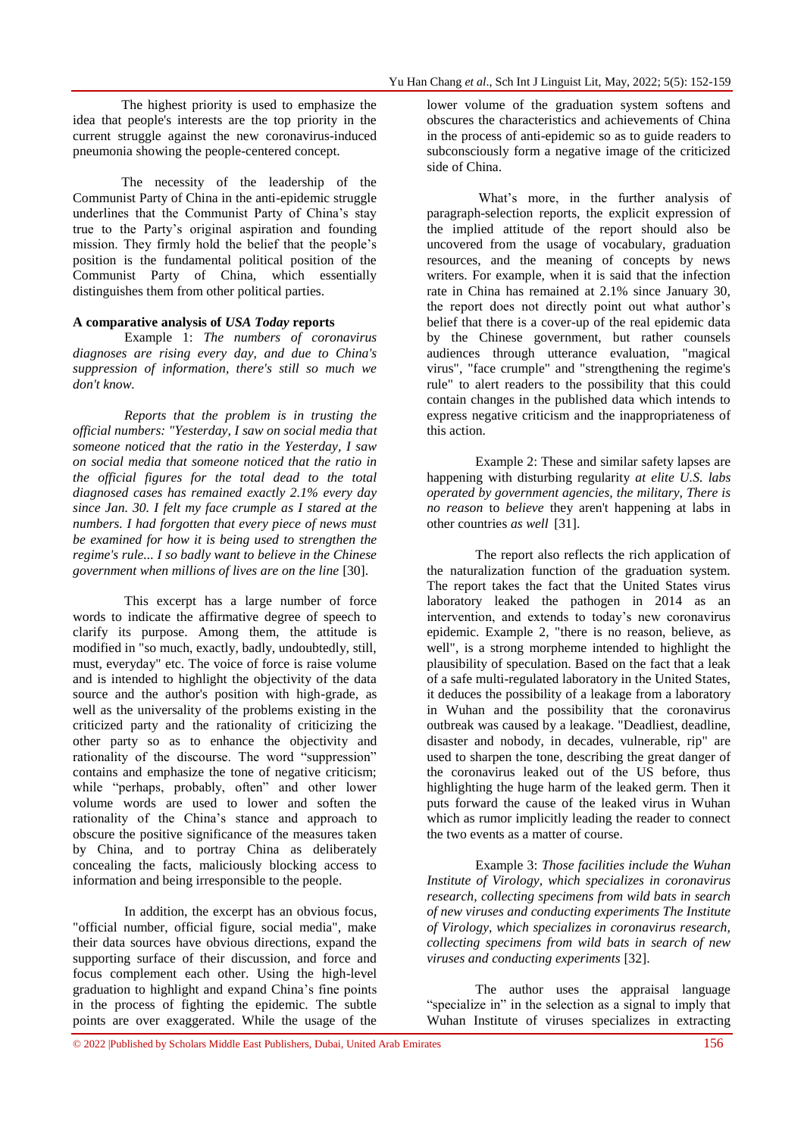The highest priority is used to emphasize the idea that people's interests are the top priority in the current struggle against the new coronavirus-induced pneumonia showing the people-centered concept.

The necessity of the leadership of the Communist Party of China in the anti-epidemic struggle underlines that the Communist Party of China's stay true to the Party"s original aspiration and founding mission. They firmly hold the belief that the people's position is the fundamental political position of the Communist Party of China, which essentially distinguishes them from other political parties.

#### **A comparative analysis of** *USA Today* **reports**

Example 1: *The numbers of coronavirus diagnoses are rising every day, and due to China's suppression of information, there's still so much we don't know.*

*Reports that the problem is in trusting the official numbers: "Yesterday, I saw on social media that someone noticed that the ratio in the Yesterday, I saw on social media that someone noticed that the ratio in the official figures for the total dead to the total diagnosed cases has remained exactly 2.1% every day since Jan. 30. I felt my face crumple as I stared at the numbers. I had forgotten that every piece of news must be examined for how it is being used to strengthen the regime's rule... I so badly want to believe in the Chinese government when millions of lives are on the line* [30].

This excerpt has a large number of force words to indicate the affirmative degree of speech to clarify its purpose. Among them, the attitude is modified in "so much, exactly, badly, undoubtedly, still, must, everyday" etc. The voice of force is raise volume and is intended to highlight the objectivity of the data source and the author's position with high-grade, as well as the universality of the problems existing in the criticized party and the rationality of criticizing the other party so as to enhance the objectivity and rationality of the discourse. The word "suppression" contains and emphasize the tone of negative criticism; while "perhaps, probably, often" and other lower volume words are used to lower and soften the rationality of the China"s stance and approach to obscure the positive significance of the measures taken by China, and to portray China as deliberately concealing the facts, maliciously blocking access to information and being irresponsible to the people.

In addition, the excerpt has an obvious focus, "official number, official figure, social media", make their data sources have obvious directions, expand the supporting surface of their discussion, and force and focus complement each other. Using the high-level graduation to highlight and expand China"s fine points in the process of fighting the epidemic. The subtle points are over exaggerated. While the usage of the

lower volume of the graduation system softens and obscures the characteristics and achievements of China in the process of anti-epidemic so as to guide readers to subconsciously form a negative image of the criticized side of China.

What's more, in the further analysis of paragraph-selection reports, the explicit expression of the implied attitude of the report should also be uncovered from the usage of vocabulary, graduation resources, and the meaning of concepts by news writers. For example, when it is said that the infection rate in China has remained at 2.1% since January 30, the report does not directly point out what author's belief that there is a cover-up of the real epidemic data by the Chinese government, but rather counsels audiences through utterance evaluation, "magical virus", "face crumple" and "strengthening the regime's rule" to alert readers to the possibility that this could contain changes in the published data which intends to express negative criticism and the inappropriateness of this action.

Example 2: These and similar safety lapses are happening with disturbing regularity *at elite U.S. labs operated by government agencies, the military, There is no reason* to *believe* they aren't happening at labs in other countries *as well* [31].

The report also reflects the rich application of the naturalization function of the graduation system. The report takes the fact that the United States virus laboratory leaked the pathogen in 2014 as an intervention, and extends to today's new coronavirus epidemic. Example 2, "there is no reason, believe, as well", is a strong morpheme intended to highlight the plausibility of speculation. Based on the fact that a leak of a safe multi-regulated laboratory in the United States, it deduces the possibility of a leakage from a laboratory in Wuhan and the possibility that the coronavirus outbreak was caused by a leakage. "Deadliest, deadline, disaster and nobody, in decades, vulnerable, rip" are used to sharpen the tone, describing the great danger of the coronavirus leaked out of the US before, thus highlighting the huge harm of the leaked germ. Then it puts forward the cause of the leaked virus in Wuhan which as rumor implicitly leading the reader to connect the two events as a matter of course.

Example 3: *Those facilities include the Wuhan Institute of Virology, which specializes in coronavirus research, collecting specimens from wild bats in search of new viruses and conducting experiments The Institute of Virology, which specializes in coronavirus research, collecting specimens from wild bats in search of new viruses and conducting experiments* [32].

The author uses the appraisal language "specialize in" in the selection as a signal to imply that Wuhan Institute of viruses specializes in extracting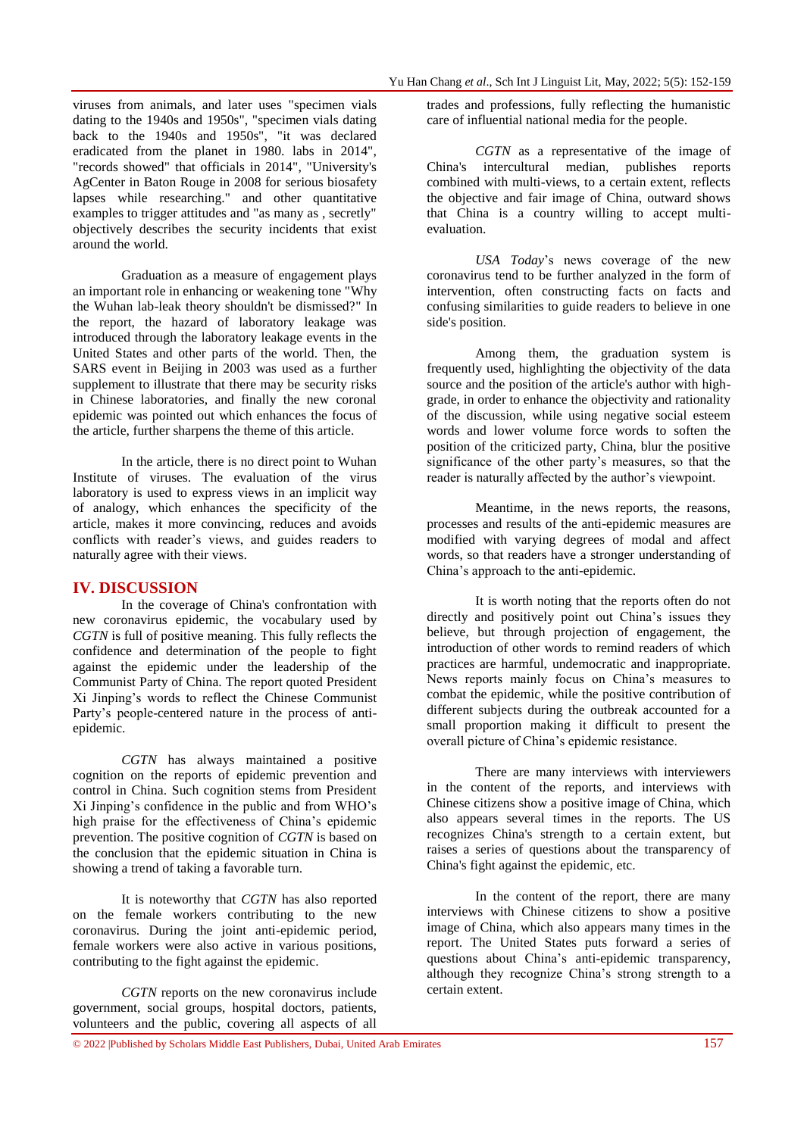viruses from animals, and later uses "specimen vials dating to the 1940s and 1950s", "specimen vials dating back to the 1940s and 1950s", "it was declared eradicated from the planet in 1980. labs in 2014", ["records showed"](https://www.documentcloud.org/documents/1691884-ia02#document/p185) that officials in 2014", "University's AgCenter in Baton Rouge in 2008 for [serious biosafety](https://www.usatoday.com/story/news/2015/05/28/biolabs-pathogens-location-incidents/26587505/)  lapses while researching." and other quantitative examples to trigger attitudes and "as many as , secretly" objectively describes the security incidents that exist around the world.

Graduation as a measure of engagement plays an important role in enhancing or weakening tone "Why the Wuhan lab-leak theory shouldn't be dismissed?" In the report, the hazard of laboratory leakage was introduced through the laboratory leakage events in the United States and other parts of the world. Then, the SARS event in Beijing in 2003 was used as a further supplement to illustrate that there may be security risks in Chinese laboratories, and finally the new coronal epidemic was pointed out which enhances the focus of the article, further sharpens the theme of this article.

In the article, there is no direct point to Wuhan Institute of viruses. The evaluation of the virus laboratory is used to express views in an implicit way of analogy, which enhances the specificity of the article, makes it more convincing, reduces and avoids conflicts with reader"s views, and guides readers to naturally agree with their views.

## **IV. DISCUSSION**

In the coverage of China's confrontation with new coronavirus epidemic, the vocabulary used by *CGTN* is full of positive meaning. This fully reflects the confidence and determination of the people to fight against the epidemic under the leadership of the Communist Party of China. The report quoted President Xi Jinping"s words to reflect the Chinese Communist Party"s people-centered nature in the process of antiepidemic.

*CGTN* has always maintained a positive cognition on the reports of epidemic prevention and control in China. Such cognition stems from President Xi Jinping"s confidence in the public and from WHO"s high praise for the effectiveness of China's epidemic prevention. The positive cognition of *CGTN* is based on the conclusion that the epidemic situation in China is showing a trend of taking a favorable turn.

It is noteworthy that *CGTN* has also reported on the female workers contributing to the new coronavirus. During the joint anti-epidemic period, female workers were also active in various positions, contributing to the fight against the epidemic.

*CGTN* reports on the new coronavirus include government, social groups, hospital doctors, patients, volunteers and the public, covering all aspects of all

trades and professions, fully reflecting the humanistic care of influential national media for the people.

*CGTN* as a representative of the image of China's intercultural median, publishes reports combined with multi-views, to a certain extent, reflects the objective and fair image of China, outward shows that China is a country willing to accept multievaluation.

*USA Today*"s news coverage of the new coronavirus tend to be further analyzed in the form of intervention, often constructing facts on facts and confusing similarities to guide readers to believe in one side's position.

Among them, the graduation system is frequently used, highlighting the objectivity of the data source and the position of the article's author with highgrade, in order to enhance the objectivity and rationality of the discussion, while using negative social esteem words and lower volume force words to soften the position of the criticized party, China, blur the positive significance of the other party"s measures, so that the reader is naturally affected by the author's viewpoint.

Meantime, in the news reports, the reasons, processes and results of the anti-epidemic measures are modified with varying degrees of modal and affect words, so that readers have a stronger understanding of China"s approach to the anti-epidemic.

It is worth noting that the reports often do not directly and positively point out China's issues they believe, but through projection of engagement, the introduction of other words to remind readers of which practices are harmful, undemocratic and inappropriate. News reports mainly focus on China"s measures to combat the epidemic, while the positive contribution of different subjects during the outbreak accounted for a small proportion making it difficult to present the overall picture of China"s epidemic resistance.

There are many interviews with interviewers in the content of the reports, and interviews with Chinese citizens show a positive image of China, which also appears several times in the reports. The US recognizes China's strength to a certain extent, but raises a series of questions about the transparency of China's fight against the epidemic, etc.

In the content of the report, there are many interviews with Chinese citizens to show a positive image of China, which also appears many times in the report. The United States puts forward a series of questions about China"s anti-epidemic transparency, although they recognize China"s strong strength to a certain extent.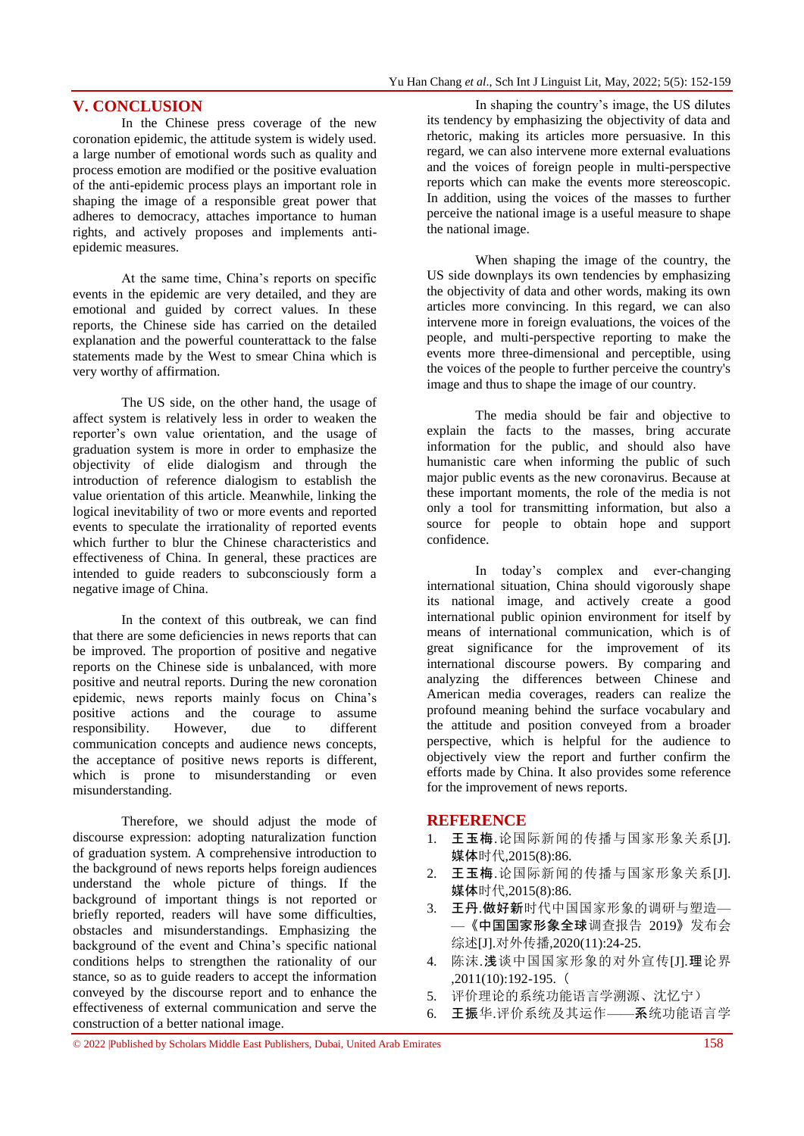### **V. CONCLUSION**

In the Chinese press coverage of the new coronation epidemic, the attitude system is widely used. a large number of emotional words such as quality and process emotion are modified or the positive evaluation of the anti-epidemic process plays an important role in shaping the image of a responsible great power that adheres to democracy, attaches importance to human rights, and actively proposes and implements antiepidemic measures.

At the same time, China"s reports on specific events in the epidemic are very detailed, and they are emotional and guided by correct values. In these reports, the Chinese side has carried on the detailed explanation and the powerful counterattack to the false statements made by the West to smear China which is very worthy of affirmation.

The US side, on the other hand, the usage of affect system is relatively less in order to weaken the reporter"s own value orientation, and the usage of graduation system is more in order to emphasize the objectivity of elide dialogism and through the introduction of reference dialogism to establish the value orientation of this article. Meanwhile, linking the logical inevitability of two or more events and reported events to speculate the irrationality of reported events which further to blur the Chinese characteristics and effectiveness of China. In general, these practices are intended to guide readers to subconsciously form a negative image of China.

In the context of this outbreak, we can find that there are some deficiencies in news reports that can be improved. The proportion of positive and negative reports on the Chinese side is unbalanced, with more positive and neutral reports. During the new coronation epidemic, news reports mainly focus on China"s positive actions and the courage to assume responsibility. However, due to different communication concepts and audience news concepts, the acceptance of positive news reports is different, which is prone to misunderstanding or even misunderstanding.

Therefore, we should adjust the mode of discourse expression: adopting naturalization function of graduation system. A comprehensive introduction to the background of news reports helps foreign audiences understand the whole picture of things. If the background of important things is not reported or briefly reported, readers will have some difficulties, obstacles and misunderstandings. Emphasizing the background of the event and China"s specific national conditions helps to strengthen the rationality of our stance, so as to guide readers to accept the information conveyed by the discourse report and to enhance the effectiveness of external communication and serve the construction of a better national image.

In shaping the country"s image, the US dilutes its tendency by emphasizing the objectivity of data and rhetoric, making its articles more persuasive. In this regard, we can also intervene more external evaluations and the voices of foreign people in multi-perspective reports which can make the events more stereoscopic. In addition, using the voices of the masses to further perceive the national image is a useful measure to shape the national image.

When shaping the image of the country, the US side downplays its own tendencies by emphasizing the objectivity of data and other words, making its own articles more convincing. In this regard, we can also intervene more in foreign evaluations, the voices of the people, and multi-perspective reporting to make the events more three-dimensional and perceptible, using the voices of the people to further perceive the country's image and thus to shape the image of our country.

The media should be fair and objective to explain the facts to the masses, bring accurate information for the public, and should also have humanistic care when informing the public of such major public events as the new coronavirus. Because at these important moments, the role of the media is not only a tool for transmitting information, but also a source for people to obtain hope and support confidence.

In today"s complex and ever-changing international situation, China should vigorously shape its national image, and actively create a good international public opinion environment for itself by means of international communication, which is of great significance for the improvement of its international discourse powers. By comparing and analyzing the differences between Chinese and American media coverages, readers can realize the profound meaning behind the surface vocabulary and the attitude and position conveyed from a broader perspective, which is helpful for the audience to objectively view the report and further confirm the efforts made by China. It also provides some reference for the improvement of news reports.

#### **REFERENCE**

- 1. 王玉梅.论国际新闻的传播与国家形象关系[J]. 媒体时代,2015(8):86.
- 2. 王玉梅.论国际新闻的传播与国家形象关系[J]. 媒体时代,2015(8):86.
- 3. 王丹.做好新时代中国国家形象的调研与塑造— —《中国国家形象全球调查报告 2019》发布会 综述[J].对外传播,2020(11):24-25.
- 4. 陈沫.浅谈中国国家形象的对外宣传[J].理论界 ,2011(10):192-195.(
- 5. 评价理论的系统功能语言学溯源、沈忆宁)
- 6. 王振华.评价系统及其运作——系统功能语言学